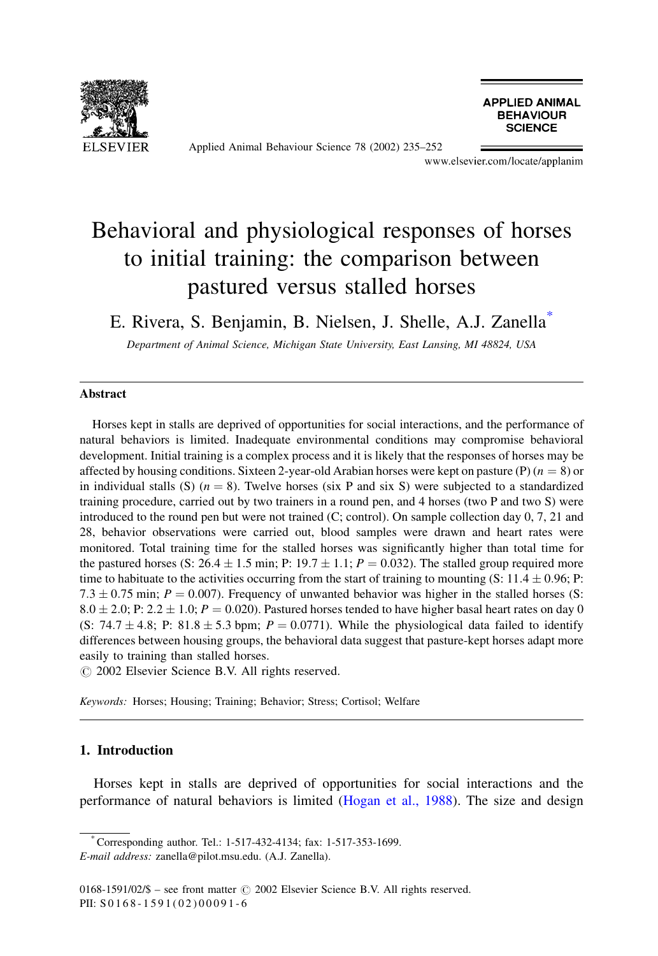

Applied Animal Behaviour Science 78 (2002) 235–252

**APPLIED ANIMAL BEHAVIOUR SCIENCE** 

www.elsevier.com/locate/applanim

# Behavioral and physiological responses of horses to initial training: the comparison between pastured versus stalled horses

E. Rivera, S. Benjamin, B. Nielsen, J. Shelle, A.J. Zanella\*

Department of Animal Science, Michigan State University, East Lansing, MI 48824, USA

#### Abstract

Horses kept in stalls are deprived of opportunities for social interactions, and the performance of natural behaviors is limited. Inadequate environmental conditions may compromise behavioral development. Initial training is a complex process and it is likely that the responses of horses may be affected by housing conditions. Sixteen 2-year-old Arabian horses were kept on pasture (P)  $(n = 8)$  or in individual stalls (S)  $(n = 8)$ . Twelve horses (six P and six S) were subjected to a standardized training procedure, carried out by two trainers in a round pen, and 4 horses (two P and two S) were introduced to the round pen but were not trained (C; control). On sample collection day 0, 7, 21 and 28, behavior observations were carried out, blood samples were drawn and heart rates were monitored. Total training time for the stalled horses was significantly higher than total time for the pastured horses (S:  $26.4 \pm 1.5$  min; P:  $19.7 \pm 1.1$ ;  $P = 0.032$ ). The stalled group required more time to habituate to the activities occurring from the start of training to mounting (S: 11.4  $\pm$  0.96; P: 7.3  $\pm$  0.75 min; P = 0.007). Frequency of unwanted behavior was higher in the stalled horses (S:  $8.0 \pm 2.0$ ; P: 2.2  $\pm$  1.0;  $P = 0.020$ ). Pastured horses tended to have higher basal heart rates on day 0 (S: 74.7  $\pm$  4.8; P: 81.8  $\pm$  5.3 bpm;  $P = 0.0771$ ). While the physiological data failed to identify differences between housing groups, the behavioral data suggest that pasture-kept horses adapt more easily to training than stalled horses.

 $\odot$  2002 Elsevier Science B.V. All rights reserved.

Keywords: Horses; Housing; Training; Behavior; Stress; Cortisol; Welfare

# 1. Introduction

Horses kept in stalls are deprived of opportunities for social interactions and the performance of natural behaviors is limited [\(Hogan et al., 1988](#page-17-0)). The size and design

<sup>\*</sup>Corresponding author. Tel.: 1-517-432-4134; fax: 1-517-353-1699.

E-mail address: zanella@pilot.msu.edu. (A.J. Zanella).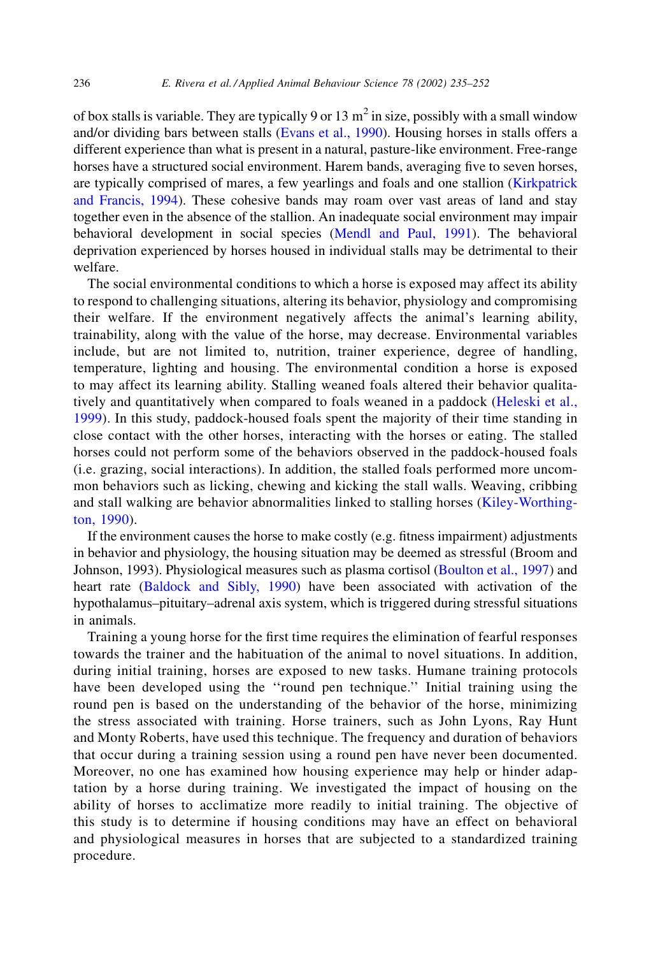of box stalls is variable. They are typically 9 or 13  $m<sup>2</sup>$  in size, possibly with a small window and/or dividing bars between stalls ([Evans et al., 1990](#page-17-0)). Housing horses in stalls offers a different experience than what is present in a natural, pasture-like environment. Free-range horses have a structured social environment. Harem bands, averaging five to seven horses, are typically comprised of mares, a few yearlings and foals and one stallion ([Kirkpatrick](#page-17-0) [and Francis, 1994\)](#page-17-0). These cohesive bands may roam over vast areas of land and stay together even in the absence of the stallion. An inadequate social environment may impair behavioral development in social species [\(Mendl and Paul, 1991\)](#page-17-0). The behavioral deprivation experienced by horses housed in individual stalls may be detrimental to their welfare.

The social environmental conditions to which a horse is exposed may affect its ability to respond to challenging situations, altering its behavior, physiology and compromising their welfare. If the environment negatively affects the animal's learning ability, trainability, along with the value of the horse, may decrease. Environmental variables include, but are not limited to, nutrition, trainer experience, degree of handling, temperature, lighting and housing. The environmental condition a horse is exposed to may affect its learning ability. Stalling weaned foals altered their behavior qualitatively and quantitatively when compared to foals weaned in a paddock [\(Heleski et al.,](#page-17-0) [1999\)](#page-17-0). In this study, paddock-housed foals spent the majority of their time standing in close contact with the other horses, interacting with the horses or eating. The stalled horses could not perform some of the behaviors observed in the paddock-housed foals (i.e. grazing, social interactions). In addition, the stalled foals performed more uncommon behaviors such as licking, chewing and kicking the stall walls. Weaving, cribbing and stall walking are behavior abnormalities linked to stalling horses ([Kiley-Worthing](#page-17-0)[ton, 1990\)](#page-17-0).

If the environment causes the horse to make costly (e.g. fitness impairment) adjustments in behavior and physiology, the housing situation may be deemed as stressful (Broom and Johnson, 1993). Physiological measures such as plasma cortisol [\(Boulton et al., 1997\)](#page-17-0) and heart rate [\(Baldock and Sibly, 1990\)](#page-16-0) have been associated with activation of the hypothalamus–pituitary–adrenal axis system, which is triggered during stressful situations in animals.

Training a young horse for the first time requires the elimination of fearful responses towards the trainer and the habituation of the animal to novel situations. In addition, during initial training, horses are exposed to new tasks. Humane training protocols have been developed using the ''round pen technique.'' Initial training using the round pen is based on the understanding of the behavior of the horse, minimizing the stress associated with training. Horse trainers, such as John Lyons, Ray Hunt and Monty Roberts, have used this technique. The frequency and duration of behaviors that occur during a training session using a round pen have never been documented. Moreover, no one has examined how housing experience may help or hinder adaptation by a horse during training. We investigated the impact of housing on the ability of horses to acclimatize more readily to initial training. The objective of this study is to determine if housing conditions may have an effect on behavioral and physiological measures in horses that are subjected to a standardized training procedure.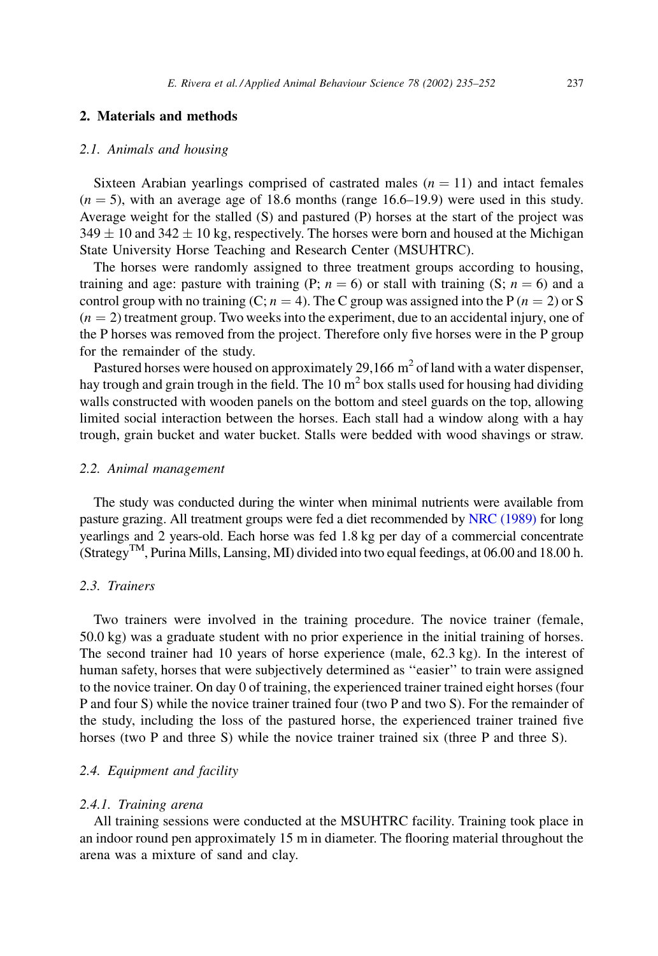# 2. Materials and methods

#### 2.1. Animals and housing

Sixteen Arabian yearlings comprised of castrated males  $(n = 11)$  and intact females  $(n = 5)$ , with an average age of 18.6 months (range 16.6–19.9) were used in this study. Average weight for the stalled (S) and pastured (P) horses at the start of the project was  $349 \pm 10$  and  $342 \pm 10$  kg, respectively. The horses were born and housed at the Michigan State University Horse Teaching and Research Center (MSUHTRC).

The horses were randomly assigned to three treatment groups according to housing, training and age: pasture with training (P;  $n = 6$ ) or stall with training (S;  $n = 6$ ) and a control group with no training (C;  $n = 4$ ). The C group was assigned into the P ( $n = 2$ ) or S  $(n = 2)$  treatment group. Two weeks into the experiment, due to an accidental injury, one of the P horses was removed from the project. Therefore only five horses were in the P group for the remainder of the study.

Pastured horses were housed on approximately 29,166  $m<sup>2</sup>$  of land with a water dispenser, hay trough and grain trough in the field. The 10  $m^2$  box stalls used for housing had dividing walls constructed with wooden panels on the bottom and steel guards on the top, allowing limited social interaction between the horses. Each stall had a window along with a hay trough, grain bucket and water bucket. Stalls were bedded with wood shavings or straw.

# 2.2. Animal management

The study was conducted during the winter when minimal nutrients were available from pasture grazing. All treatment groups were fed a diet recommended by [NRC \(1989\)](#page-17-0) for long yearlings and 2 years-old. Each horse was fed 1.8 kg per day of a commercial concentrate (Strategy<sup>TM</sup>, Purina Mills, Lansing, MI) divided into two equal feedings, at 06.00 and 18.00 h.

# 2.3. Trainers

Two trainers were involved in the training procedure. The novice trainer (female, 50.0 kg) was a graduate student with no prior experience in the initial training of horses. The second trainer had 10 years of horse experience (male, 62.3 kg). In the interest of human safety, horses that were subjectively determined as ''easier'' to train were assigned to the novice trainer. On day 0 of training, the experienced trainer trained eight horses (four P and four S) while the novice trainer trained four (two P and two S). For the remainder of the study, including the loss of the pastured horse, the experienced trainer trained five horses (two P and three S) while the novice trainer trained six (three P and three S).

# 2.4. Equipment and facility

#### 2.4.1. Training arena

All training sessions were conducted at the MSUHTRC facility. Training took place in an indoor round pen approximately 15 m in diameter. The flooring material throughout the arena was a mixture of sand and clay.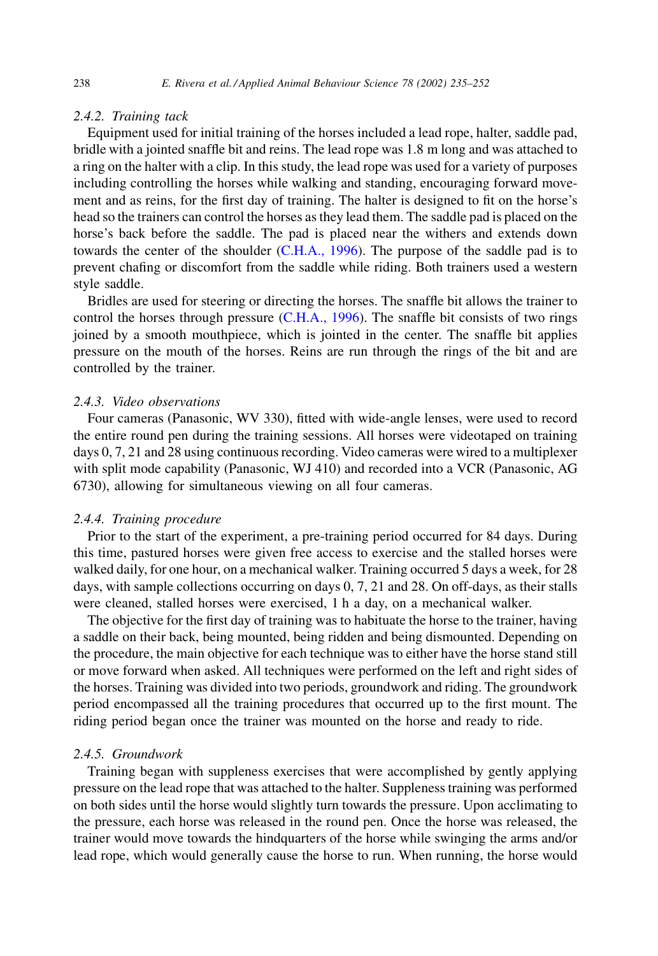# 2.4.2. Training tack

Equipment used for initial training of the horses included a lead rope, halter, saddle pad, bridle with a jointed snaffle bit and reins. The lead rope was 1.8 m long and was attached to a ring on the halter with a clip. In this study, the lead rope was used for a variety of purposes including controlling the horses while walking and standing, encouraging forward movement and as reins, for the first day of training. The halter is designed to fit on the horse's head so the trainers can control the horses as they lead them. The saddle pad is placed on the horse's back before the saddle. The pad is placed near the withers and extends down towards the center of the shoulder [\(C.H.A., 1996\)](#page-17-0). The purpose of the saddle pad is to prevent chafing or discomfort from the saddle while riding. Both trainers used a western style saddle.

Bridles are used for steering or directing the horses. The snaffle bit allows the trainer to control the horses through pressure ([C.H.A., 1996\)](#page-17-0). The snaffle bit consists of two rings joined by a smooth mouthpiece, which is jointed in the center. The snaffle bit applies pressure on the mouth of the horses. Reins are run through the rings of the bit and are controlled by the trainer.

# 2.4.3. Video observations

Four cameras (Panasonic, WV 330), fitted with wide-angle lenses, were used to record the entire round pen during the training sessions. All horses were videotaped on training days 0, 7, 21 and 28 using continuous recording. Video cameras were wired to a multiplexer with split mode capability (Panasonic, WJ 410) and recorded into a VCR (Panasonic, AG 6730), allowing for simultaneous viewing on all four cameras.

### 2.4.4. Training procedure

Prior to the start of the experiment, a pre-training period occurred for 84 days. During this time, pastured horses were given free access to exercise and the stalled horses were walked daily, for one hour, on a mechanical walker. Training occurred 5 days a week, for 28 days, with sample collections occurring on days 0, 7, 21 and 28. On off-days, as their stalls were cleaned, stalled horses were exercised, 1 h a day, on a mechanical walker.

The objective for the first day of training was to habituate the horse to the trainer, having a saddle on their back, being mounted, being ridden and being dismounted. Depending on the procedure, the main objective for each technique was to either have the horse stand still or move forward when asked. All techniques were performed on the left and right sides of the horses. Training was divided into two periods, groundwork and riding. The groundwork period encompassed all the training procedures that occurred up to the first mount. The riding period began once the trainer was mounted on the horse and ready to ride.

#### 2.4.5. Groundwork

Training began with suppleness exercises that were accomplished by gently applying pressure on the lead rope that was attached to the halter. Suppleness training was performed on both sides until the horse would slightly turn towards the pressure. Upon acclimating to the pressure, each horse was released in the round pen. Once the horse was released, the trainer would move towards the hindquarters of the horse while swinging the arms and/or lead rope, which would generally cause the horse to run. When running, the horse would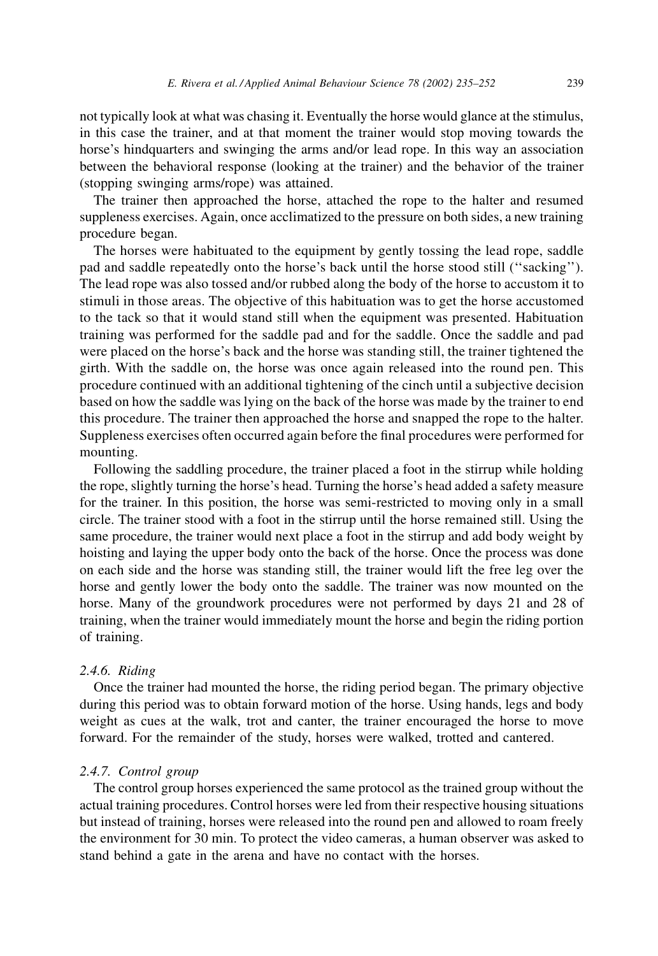not typically look at what was chasing it. Eventually the horse would glance at the stimulus, in this case the trainer, and at that moment the trainer would stop moving towards the horse's hindquarters and swinging the arms and/or lead rope. In this way an association between the behavioral response (looking at the trainer) and the behavior of the trainer (stopping swinging arms/rope) was attained.

The trainer then approached the horse, attached the rope to the halter and resumed suppleness exercises. Again, once acclimatized to the pressure on both sides, a new training procedure began.

The horses were habituated to the equipment by gently tossing the lead rope, saddle pad and saddle repeatedly onto the horse's back until the horse stood still (''sacking''). The lead rope was also tossed and/or rubbed along the body of the horse to accustom it to stimuli in those areas. The objective of this habituation was to get the horse accustomed to the tack so that it would stand still when the equipment was presented. Habituation training was performed for the saddle pad and for the saddle. Once the saddle and pad were placed on the horse's back and the horse was standing still, the trainer tightened the girth. With the saddle on, the horse was once again released into the round pen. This procedure continued with an additional tightening of the cinch until a subjective decision based on how the saddle was lying on the back of the horse was made by the trainer to end this procedure. The trainer then approached the horse and snapped the rope to the halter. Suppleness exercises often occurred again before the final procedures were performed for mounting.

Following the saddling procedure, the trainer placed a foot in the stirrup while holding the rope, slightly turning the horse's head. Turning the horse's head added a safety measure for the trainer. In this position, the horse was semi-restricted to moving only in a small circle. The trainer stood with a foot in the stirrup until the horse remained still. Using the same procedure, the trainer would next place a foot in the stirrup and add body weight by hoisting and laying the upper body onto the back of the horse. Once the process was done on each side and the horse was standing still, the trainer would lift the free leg over the horse and gently lower the body onto the saddle. The trainer was now mounted on the horse. Many of the groundwork procedures were not performed by days 21 and 28 of training, when the trainer would immediately mount the horse and begin the riding portion of training.

#### 2.4.6. Riding

Once the trainer had mounted the horse, the riding period began. The primary objective during this period was to obtain forward motion of the horse. Using hands, legs and body weight as cues at the walk, trot and canter, the trainer encouraged the horse to move forward. For the remainder of the study, horses were walked, trotted and cantered.

# 2.4.7. Control group

The control group horses experienced the same protocol as the trained group without the actual training procedures. Control horses were led from their respective housing situations but instead of training, horses were released into the round pen and allowed to roam freely the environment for 30 min. To protect the video cameras, a human observer was asked to stand behind a gate in the arena and have no contact with the horses.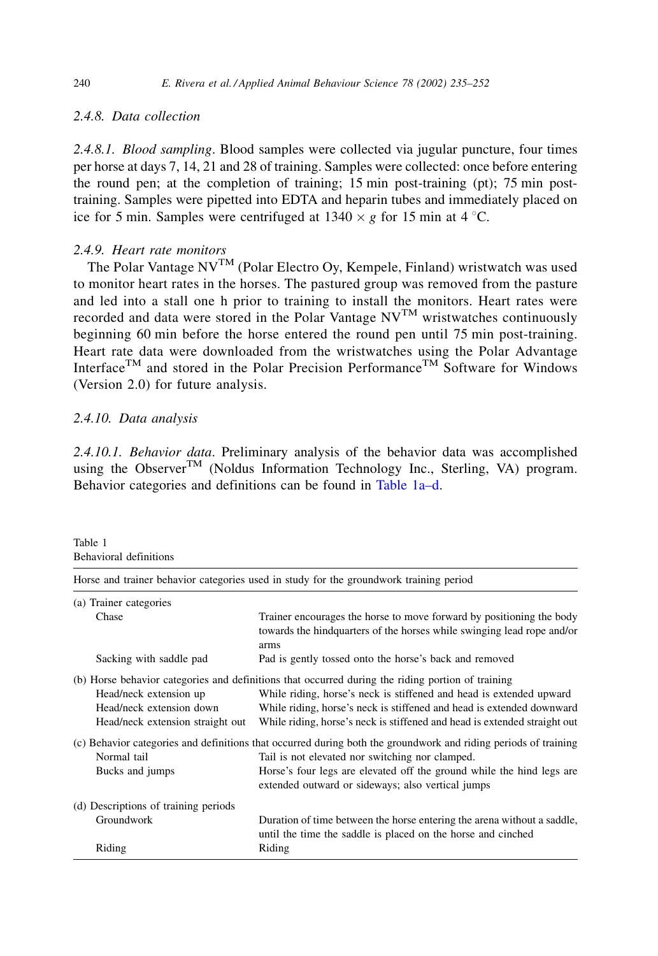# 2.4.8. Data collection

2.4.8.1. Blood sampling. Blood samples were collected via jugular puncture, four times per horse at days 7, 14, 21 and 28 of training. Samples were collected: once before entering the round pen; at the completion of training; 15 min post-training (pt); 75 min posttraining. Samples were pipetted into EDTA and heparin tubes and immediately placed on ice for 5 min. Samples were centrifuged at  $1340 \times g$  for 15 min at 4 °C.

# 2.4.9. Heart rate monitors

The Polar Vantage NVTM (Polar Electro Oy, Kempele, Finland) wristwatch was used to monitor heart rates in the horses. The pastured group was removed from the pasture and led into a stall one h prior to training to install the monitors. Heart rates were recorded and data were stored in the Polar Vantage  $\text{NV}^{\text{TM}}$  wristwatches continuously beginning 60 min before the horse entered the round pen until 75 min post-training. Heart rate data were downloaded from the wristwatches using the Polar Advantage Interface<sup>TM</sup> and stored in the Polar Precision Performance<sup>TM</sup> Software for Windows (Version 2.0) for future analysis.

# 2.4.10. Data analysis

2.4.10.1. Behavior data. Preliminary analysis of the behavior data was accomplished using the Observer<sup>TM</sup> (Noldus Information Technology Inc., Sterling, VA) program. Behavior categories and definitions can be found in Table 1a–d.

| Table 1                       |  |
|-------------------------------|--|
| <b>Behavioral definitions</b> |  |

Horse and trainer behavior categories used in study for the groundwork training period

| (a) Trainer categories                                                                                          |                                                                                                                                                         |  |  |
|-----------------------------------------------------------------------------------------------------------------|---------------------------------------------------------------------------------------------------------------------------------------------------------|--|--|
| Chase                                                                                                           | Trainer encourages the horse to move forward by positioning the body<br>towards the hind quarters of the horses while swinging lead rope and/or<br>arms |  |  |
| Sacking with saddle pad                                                                                         | Pad is gently tossed onto the horse's back and removed                                                                                                  |  |  |
|                                                                                                                 | (b) Horse behavior categories and definitions that occurred during the riding portion of training                                                       |  |  |
| Head/neck extension up                                                                                          | While riding, horse's neck is stiffened and head is extended upward                                                                                     |  |  |
| Head/neck extension down                                                                                        | While riding, horse's neck is stiffened and head is extended downward                                                                                   |  |  |
| Head/neck extension straight out                                                                                | While riding, horse's neck is stiffened and head is extended straight out                                                                               |  |  |
| (c) Behavior categories and definitions that occurred during both the groundwork and riding periods of training |                                                                                                                                                         |  |  |
| Normal tail                                                                                                     | Tail is not elevated nor switching nor clamped.                                                                                                         |  |  |
| Bucks and jumps                                                                                                 | Horse's four legs are elevated off the ground while the hind legs are<br>extended outward or sideways; also vertical jumps                              |  |  |
| (d) Descriptions of training periods                                                                            |                                                                                                                                                         |  |  |
| Groundwork                                                                                                      | Duration of time between the horse entering the arena without a saddle,<br>until the time the saddle is placed on the horse and cinched                 |  |  |
| Riding                                                                                                          | Riding                                                                                                                                                  |  |  |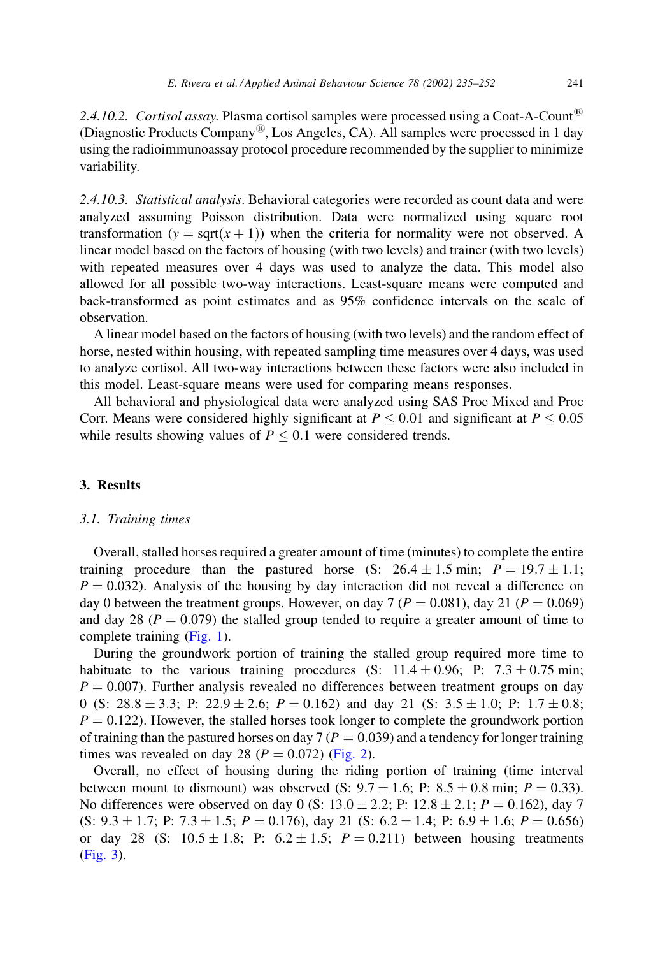2.4.10.2. Cortisol assay. Plasma cortisol samples were processed using a Coat-A-Count<sup>®</sup> (Diagnostic Products Company<sup>®</sup>, Los Angeles, CA). All samples were processed in 1 day using the radioimmunoassay protocol procedure recommended by the supplier to minimize variability.

2.4.10.3. Statistical analysis. Behavioral categories were recorded as count data and were analyzed assuming Poisson distribution. Data were normalized using square root transformation ( $y = \text{sqrt}(x + 1)$ ) when the criteria for normality were not observed. A linear model based on the factors of housing (with two levels) and trainer (with two levels) with repeated measures over 4 days was used to analyze the data. This model also allowed for all possible two-way interactions. Least-square means were computed and back-transformed as point estimates and as 95% confidence intervals on the scale of observation.

A linear model based on the factors of housing (with two levels) and the random effect of horse, nested within housing, with repeated sampling time measures over 4 days, was used to analyze cortisol. All two-way interactions between these factors were also included in this model. Least-square means were used for comparing means responses.

All behavioral and physiological data were analyzed using SAS Proc Mixed and Proc Corr. Means were considered highly significant at  $P \le 0.01$  and significant at  $P \le 0.05$ while results showing values of  $P \leq 0.1$  were considered trends.

# 3. Results

### 3.1. Training times

Overall, stalled horses required a greater amount of time (minutes) to complete the entire training procedure than the pastured horse (S:  $26.4 \pm 1.5$  min;  $P = 19.7 \pm 1.1$ ;  $P = 0.032$ ). Analysis of the housing by day interaction did not reveal a difference on day 0 between the treatment groups. However, on day 7 ( $P = 0.081$ ), day 21 ( $P = 0.069$ ) and day 28 ( $P = 0.079$ ) the stalled group tended to require a greater amount of time to complete training ([Fig. 1\)](#page-7-0).

During the groundwork portion of training the stalled group required more time to habituate to the various training procedures (S:  $11.4 \pm 0.96$ ; P:  $7.3 \pm 0.75$  min;  $P = 0.007$ ). Further analysis revealed no differences between treatment groups on day 0 (S:  $28.8 \pm 3.3$ ; P:  $22.9 \pm 2.6$ ;  $P = 0.162$ ) and day 21 (S:  $3.5 \pm 1.0$ ; P:  $1.7 \pm 0.8$ ;  $P = 0.122$ ). However, the stalled horses took longer to complete the groundwork portion of training than the pastured horses on day 7 ( $P = 0.039$ ) and a tendency for longer training times was revealed on day 28 ( $P = 0.072$ ) [\(Fig. 2](#page-7-0)).

Overall, no effect of housing during the riding portion of training (time interval between mount to dismount) was observed (S:  $9.7 \pm 1.6$ ; P:  $8.5 \pm 0.8$  min;  $P = 0.33$ ). No differences were observed on day 0 (S:  $13.0 \pm 2.2$ ; P:  $12.8 \pm 2.1$ ;  $P = 0.162$ ), day 7  $(S: 9.3 \pm 1.7; P: 7.3 \pm 1.5; P = 0.176)$ , day 21  $(S: 6.2 \pm 1.4; P: 6.9 \pm 1.6; P = 0.656)$ or day 28 (S:  $10.5 \pm 1.8$ ; P:  $6.2 \pm 1.5$ ;  $P = 0.211$ ) between housing treatments [\(Fig. 3](#page-8-0)).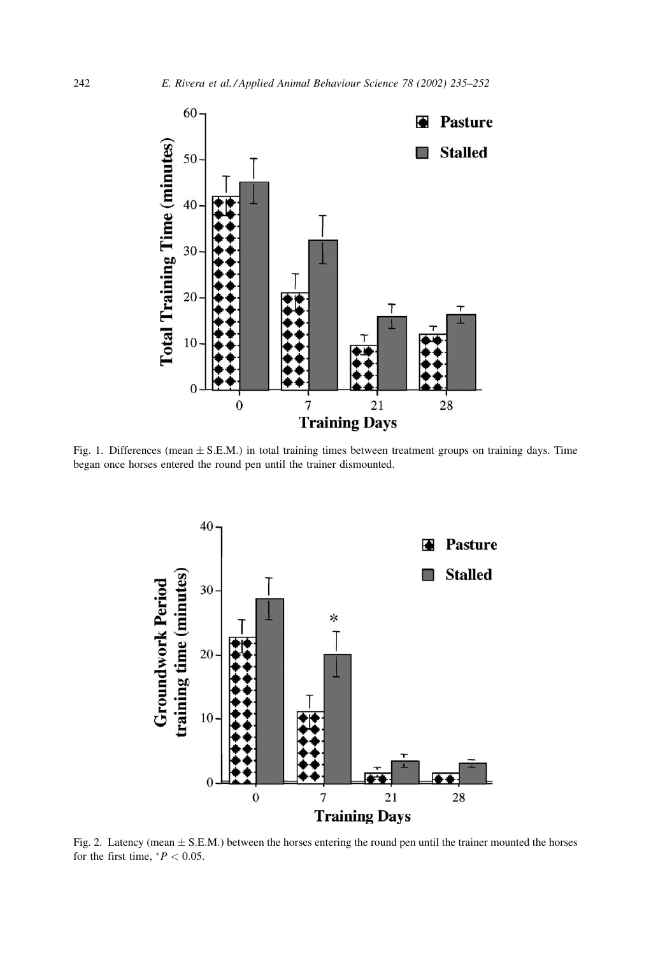<span id="page-7-0"></span>

Fig. 1. Differences (mean  $\pm$  S.E.M.) in total training times between treatment groups on training days. Time began once horses entered the round pen until the trainer dismounted.



Fig. 2. Latency (mean  $\pm$  S.E.M.) between the horses entering the round pen until the trainer mounted the horses for the first time,  $P < 0.05$ .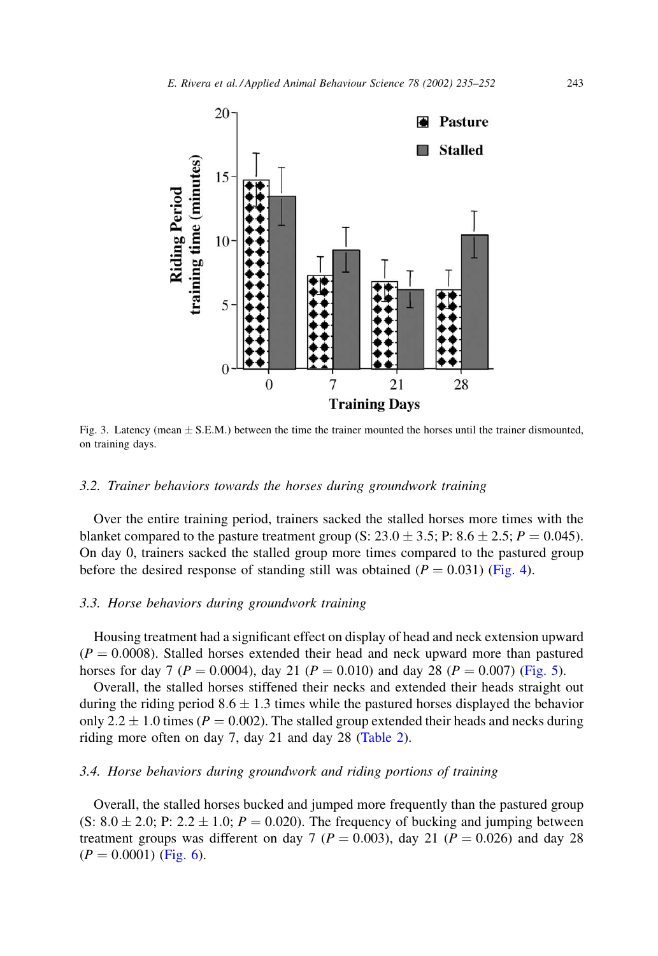<span id="page-8-0"></span>

Fig. 3. Latency (mean  $\pm$  S.E.M.) between the time the trainer mounted the horses until the trainer dismounted, on training days.

# 3.2. Trainer behaviors towards the horses during groundwork training

Over the entire training period, trainers sacked the stalled horses more times with the blanket compared to the pasture treatment group (S:  $23.0 \pm 3.5$ ; P:  $8.6 \pm 2.5$ ;  $P = 0.045$ ). On day 0, trainers sacked the stalled group more times compared to the pastured group before the desired response of standing still was obtained ( $P = 0.031$ ) ([Fig. 4](#page-9-0)).

# 3.3. Horse behaviors during groundwork training

Housing treatment had a significant effect on display of head and neck extension upward  $(P = 0.0008)$ . Stalled horses extended their head and neck upward more than pastured horses for day 7 ( $P = 0.0004$ ), day 21 ( $P = 0.010$ ) and day 28 ( $P = 0.007$ ) [\(Fig. 5](#page-9-0)).

Overall, the stalled horses stiffened their necks and extended their heads straight out during the riding period  $8.6 \pm 1.3$  times while the pastured horses displayed the behavior only 2.2  $\pm$  1.0 times ( $P = 0.002$ ). The stalled group extended their heads and necks during riding more often on day 7, day 21 and day 28 ([Table 2](#page-10-0)).

#### 3.4. Horse behaviors during groundwork and riding portions of training

Overall, the stalled horses bucked and jumped more frequently than the pastured group  $(S: 8.0 \pm 2.0; P: 2.2 \pm 1.0; P = 0.020)$ . The frequency of bucking and jumping between treatment groups was different on day 7 ( $P = 0.003$ ), day 21 ( $P = 0.026$ ) and day 28  $(P = 0.0001)$  ([Fig. 6](#page-10-0)).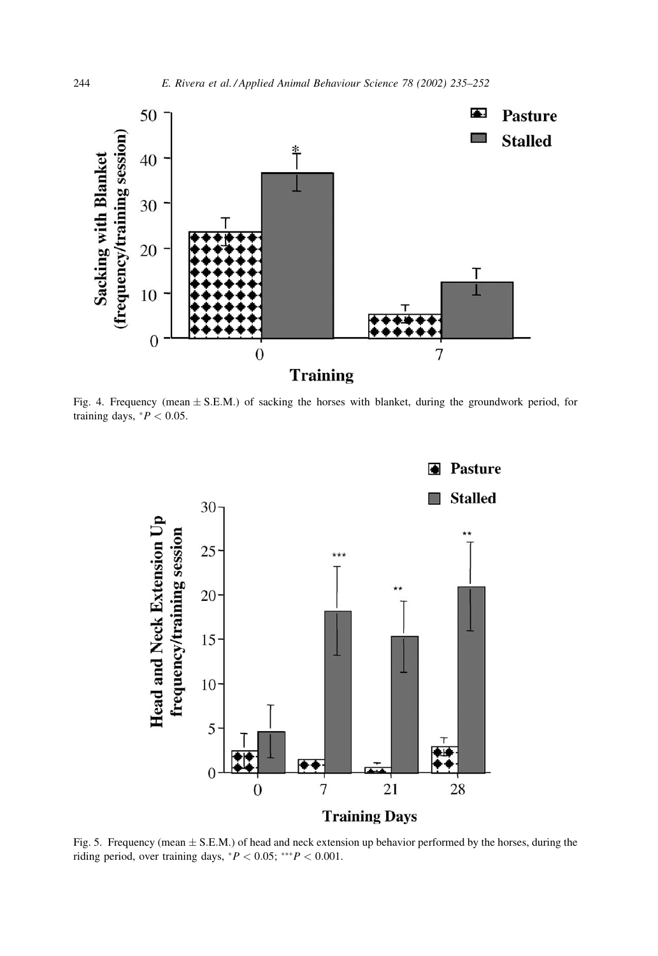

Fig. 4. Frequency (mean  $\pm$  S.E.M.) of sacking the horses with blanket, during the groundwork period, for training days,  $P < 0.05$ .



Fig. 5. Frequency (mean  $\pm$  S.E.M.) of head and neck extension up behavior performed by the horses, during the riding period, over training days,  $*P < 0.05$ ;  $***P < 0.001$ .

<span id="page-9-0"></span>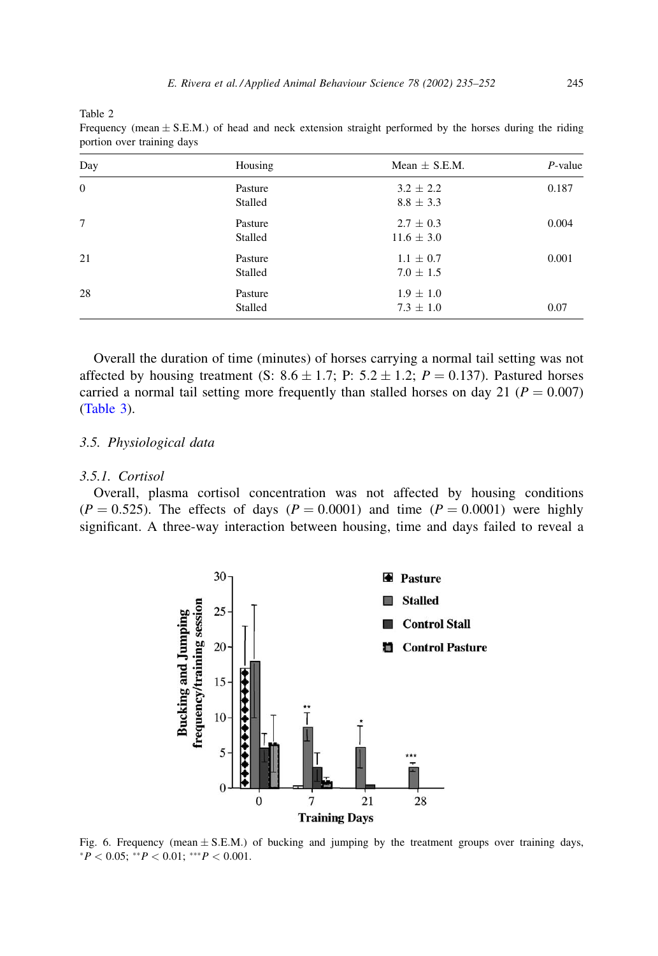<span id="page-10-0"></span>Table 2

| ---      |                    |                                 |            |  |
|----------|--------------------|---------------------------------|------------|--|
| Day      | Housing            | Mean $\pm$ S.E.M.               | $P$ -value |  |
| $\Omega$ | Pasture<br>Stalled | $3.2 \pm 2.2$<br>$8.8 \pm 3.3$  | 0.187      |  |
| $\tau$   | Pasture<br>Stalled | $2.7 \pm 0.3$<br>$11.6 \pm 3.0$ | 0.004      |  |
| 21       | Pasture<br>Stalled | $1.1 \pm 0.7$<br>$7.0 \pm 1.5$  | 0.001      |  |
| 28       | Pasture<br>Stalled | $1.9 \pm 1.0$<br>$7.3 \pm 1.0$  | 0.07       |  |
|          |                    |                                 |            |  |

Frequency (mean  $\pm$  S.E.M.) of head and neck extension straight performed by the horses during the riding portion over training days

Overall the duration of time (minutes) of horses carrying a normal tail setting was not affected by housing treatment (S:  $8.6 \pm 1.7$ ; P:  $5.2 \pm 1.2$ ;  $P = 0.137$ ). Pastured horses carried a normal tail setting more frequently than stalled horses on day 21 ( $P = 0.007$ ) [\(Table 3](#page-11-0)).

# 3.5. Physiological data

#### 3.5.1. Cortisol

Overall, plasma cortisol concentration was not affected by housing conditions  $(P = 0.525)$ . The effects of days  $(P = 0.0001)$  and time  $(P = 0.0001)$  were highly significant. A three-way interaction between housing, time and days failed to reveal a



Fig. 6. Frequency (mean  $\pm$  S.E.M.) of bucking and jumping by the treatment groups over training days,  ${}^*P$  < 0.05;  ${}^*P$  < 0.01;  ${}^{**}P$  < 0.001.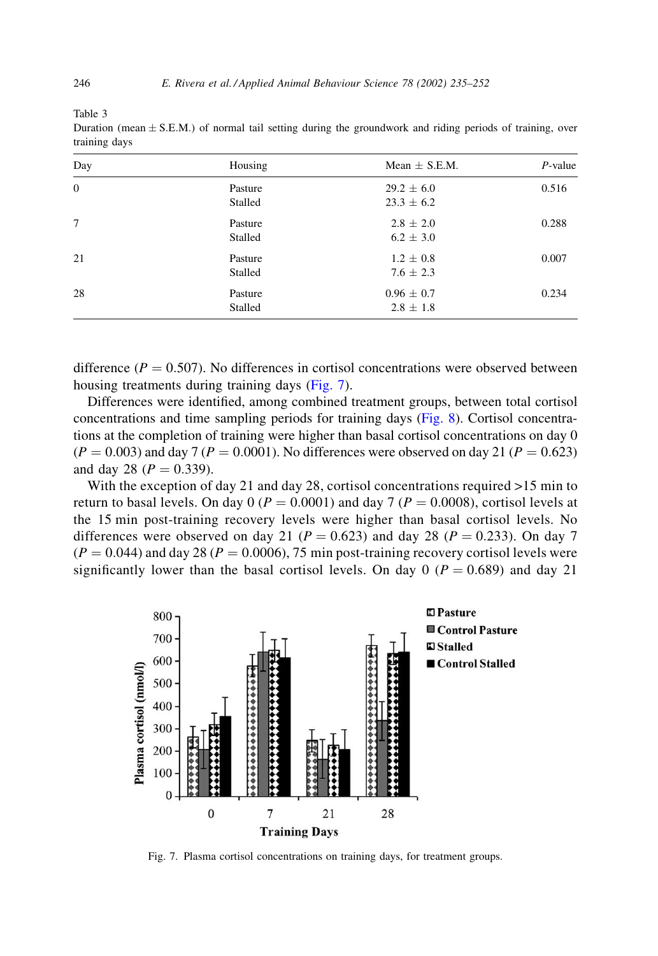<span id="page-11-0"></span>Table 3

| Day          | Housing            | Mean $\pm$ S.E.M.                | $P$ -value |  |
|--------------|--------------------|----------------------------------|------------|--|
| $\mathbf{0}$ | Pasture<br>Stalled | $29.2 \pm 6.0$<br>$23.3 \pm 6.2$ | 0.516      |  |
| 7            | Pasture<br>Stalled | $2.8 \pm 2.0$<br>$6.2 \pm 3.0$   | 0.288      |  |
| 21           | Pasture<br>Stalled | $1.2 \pm 0.8$<br>$7.6 \pm 2.3$   | 0.007      |  |
| 28           | Pasture<br>Stalled | $0.96 \pm 0.7$<br>$2.8 \pm 1.8$  | 0.234      |  |
|              |                    |                                  |            |  |

Duration (mean  $\pm$  S.E.M.) of normal tail setting during the groundwork and riding periods of training, over training days

difference ( $P = 0.507$ ). No differences in cortisol concentrations were observed between housing treatments during training days (Fig. 7).

Differences were identified, among combined treatment groups, between total cortisol concentrations and time sampling periods for training days ([Fig. 8](#page-12-0)). Cortisol concentrations at the completion of training were higher than basal cortisol concentrations on day 0  $(P = 0.003)$  and day 7 ( $P = 0.0001$ ). No differences were observed on day 21 ( $P = 0.623$ ) and day 28 ( $P = 0.339$ ).

With the exception of day 21 and day 28, cortisol concentrations required >15 min to return to basal levels. On day 0 ( $P = 0.0001$ ) and day 7 ( $P = 0.0008$ ), cortisol levels at the 15 min post-training recovery levels were higher than basal cortisol levels. No differences were observed on day 21 ( $P = 0.623$ ) and day 28 ( $P = 0.233$ ). On day 7  $(P = 0.044)$  and day 28 ( $P = 0.0006$ ), 75 min post-training recovery cortisol levels were significantly lower than the basal cortisol levels. On day 0 ( $P = 0.689$ ) and day 21



Fig. 7. Plasma cortisol concentrations on training days, for treatment groups.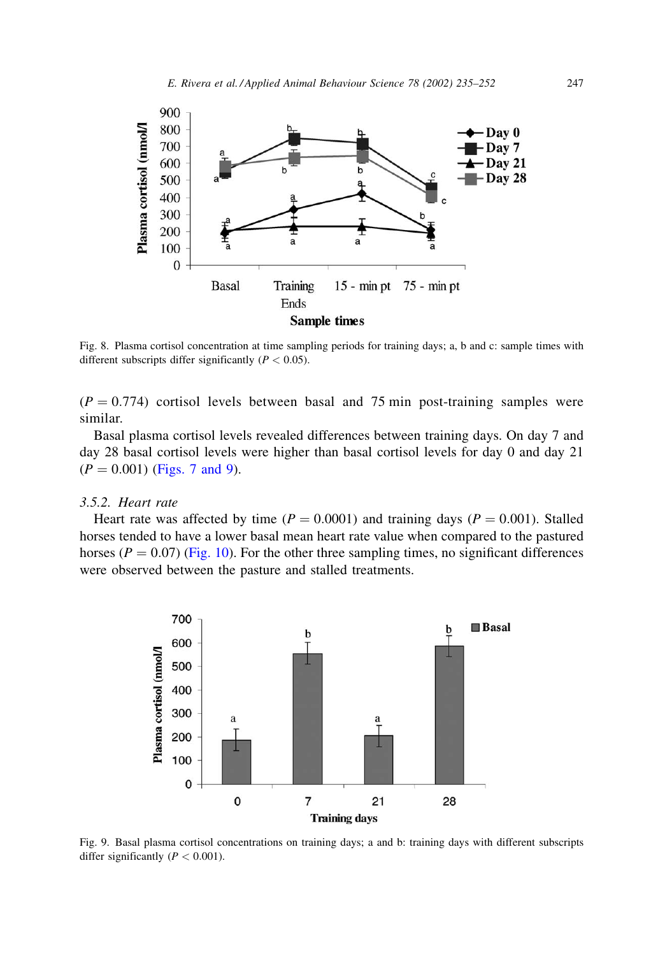<span id="page-12-0"></span>

Fig. 8. Plasma cortisol concentration at time sampling periods for training days; a, b and c: sample times with different subscripts differ significantly ( $P < 0.05$ ).

 $(P = 0.774)$  cortisol levels between basal and 75 min post-training samples were similar.

Basal plasma cortisol levels revealed differences between training days. On day 7 and day 28 basal cortisol levels were higher than basal cortisol levels for day 0 and day 21  $(P = 0.001)$  ([Figs. 7 and 9](#page-11-0)).

# 3.5.2. Heart rate

Heart rate was affected by time ( $P = 0.0001$ ) and training days ( $P = 0.001$ ). Stalled horses tended to have a lower basal mean heart rate value when compared to the pastured horses ( $P = 0.07$ ) [\(Fig. 10\)](#page-13-0). For the other three sampling times, no significant differences were observed between the pasture and stalled treatments.



Fig. 9. Basal plasma cortisol concentrations on training days; a and b: training days with different subscripts differ significantly ( $P < 0.001$ ).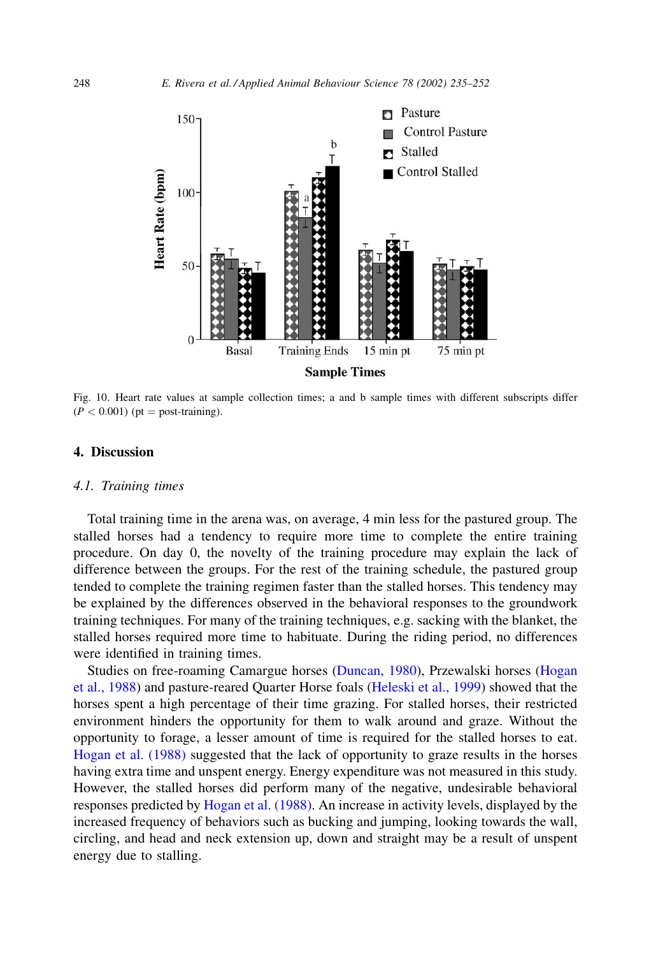<span id="page-13-0"></span>

Fig. 10. Heart rate values at sample collection times; a and b sample times with different subscripts differ  $(P < 0.001)$  (pt = post-training).

### 4. Discussion

# 4.1. Training times

Total training time in the arena was, on average, 4 min less for the pastured group. The stalled horses had a tendency to require more time to complete the entire training procedure. On day 0, the novelty of the training procedure may explain the lack of difference between the groups. For the rest of the training schedule, the pastured group tended to complete the training regimen faster than the stalled horses. This tendency may be explained by the differences observed in the behavioral responses to the groundwork training techniques. For many of the training techniques, e.g. sacking with the blanket, the stalled horses required more time to habituate. During the riding period, no differences were identified in training times.

Studies on free-roaming Camargue horses ([Duncan, 1980\)](#page-17-0), Przewalski horses [\(Hogan](#page-17-0) [et al., 1988\)](#page-17-0) and pasture-reared Quarter Horse foals ([Heleski et al., 1999](#page-17-0)) showed that the horses spent a high percentage of their time grazing. For stalled horses, their restricted environment hinders the opportunity for them to walk around and graze. Without the opportunity to forage, a lesser amount of time is required for the stalled horses to eat. [Hogan et al. \(1988\)](#page-17-0) suggested that the lack of opportunity to graze results in the horses having extra time and unspent energy. Energy expenditure was not measured in this study. However, the stalled horses did perform many of the negative, undesirable behavioral responses predicted by [Hogan et al. \(1988\).](#page-17-0) An increase in activity levels, displayed by the increased frequency of behaviors such as bucking and jumping, looking towards the wall, circling, and head and neck extension up, down and straight may be a result of unspent energy due to stalling.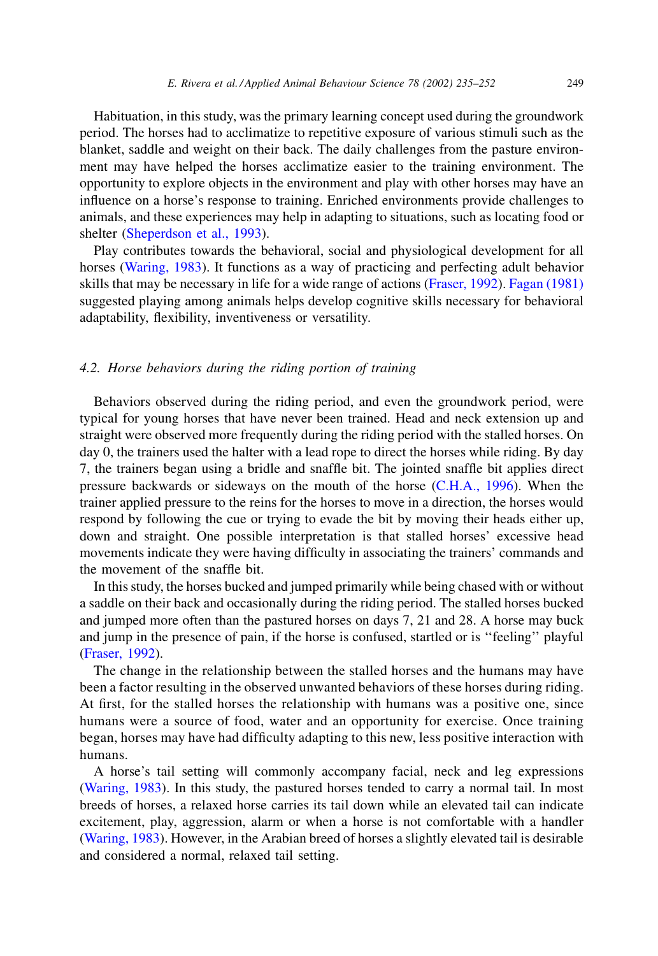Habituation, in this study, was the primary learning concept used during the groundwork period. The horses had to acclimatize to repetitive exposure of various stimuli such as the blanket, saddle and weight on their back. The daily challenges from the pasture environment may have helped the horses acclimatize easier to the training environment. The opportunity to explore objects in the environment and play with other horses may have an influence on a horse's response to training. Enriched environments provide challenges to animals, and these experiences may help in adapting to situations, such as locating food or shelter [\(Sheperdson et al., 1993](#page-17-0)).

Play contributes towards the behavioral, social and physiological development for all horses ([Waring, 1983\)](#page-17-0). It functions as a way of practicing and perfecting adult behavior skills that may be necessary in life for a wide range of actions [\(Fraser, 1992](#page-17-0)). [Fagan \(1981\)](#page-17-0) suggested playing among animals helps develop cognitive skills necessary for behavioral adaptability, flexibility, inventiveness or versatility.

#### 4.2. Horse behaviors during the riding portion of training

Behaviors observed during the riding period, and even the groundwork period, were typical for young horses that have never been trained. Head and neck extension up and straight were observed more frequently during the riding period with the stalled horses. On day 0, the trainers used the halter with a lead rope to direct the horses while riding. By day 7, the trainers began using a bridle and snaffle bit. The jointed snaffle bit applies direct pressure backwards or sideways on the mouth of the horse ([C.H.A., 1996](#page-17-0)). When the trainer applied pressure to the reins for the horses to move in a direction, the horses would respond by following the cue or trying to evade the bit by moving their heads either up, down and straight. One possible interpretation is that stalled horses' excessive head movements indicate they were having difficulty in associating the trainers' commands and the movement of the snaffle bit.

In this study, the horses bucked and jumped primarily while being chased with or without a saddle on their back and occasionally during the riding period. The stalled horses bucked and jumped more often than the pastured horses on days 7, 21 and 28. A horse may buck and jump in the presence of pain, if the horse is confused, startled or is ''feeling'' playful [\(Fraser, 1992](#page-17-0)).

The change in the relationship between the stalled horses and the humans may have been a factor resulting in the observed unwanted behaviors of these horses during riding. At first, for the stalled horses the relationship with humans was a positive one, since humans were a source of food, water and an opportunity for exercise. Once training began, horses may have had difficulty adapting to this new, less positive interaction with humans.

A horse's tail setting will commonly accompany facial, neck and leg expressions [\(Waring, 1983](#page-17-0)). In this study, the pastured horses tended to carry a normal tail. In most breeds of horses, a relaxed horse carries its tail down while an elevated tail can indicate excitement, play, aggression, alarm or when a horse is not comfortable with a handler [\(Waring, 1983\)](#page-17-0). However, in the Arabian breed of horses a slightly elevated tail is desirable and considered a normal, relaxed tail setting.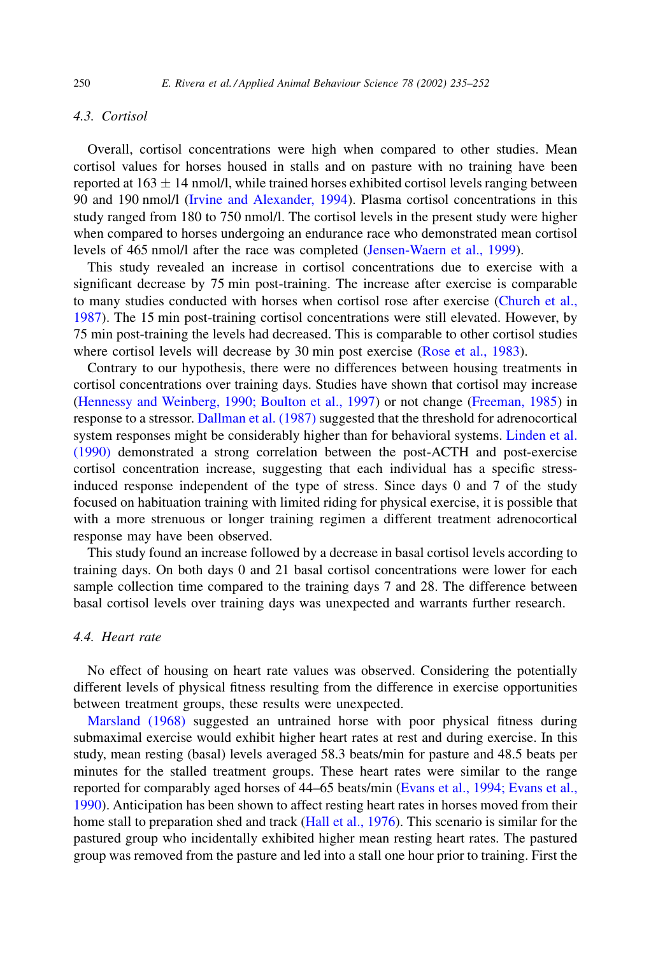# 4.3. Cortisol

Overall, cortisol concentrations were high when compared to other studies. Mean cortisol values for horses housed in stalls and on pasture with no training have been reported at 163  $\pm$  14 nmol/l, while trained horses exhibited cortisol levels ranging between 90 and 190 nmol/l ([Irvine and Alexander, 1994\)](#page-17-0). Plasma cortisol concentrations in this study ranged from 180 to 750 nmol/l. The cortisol levels in the present study were higher when compared to horses undergoing an endurance race who demonstrated mean cortisol levels of 465 nmol/l after the race was completed ([Jensen-Waern et al., 1999](#page-17-0)).

This study revealed an increase in cortisol concentrations due to exercise with a significant decrease by 75 min post-training. The increase after exercise is comparable to many studies conducted with horses when cortisol rose after exercise [\(Church et al.,](#page-17-0) [1987](#page-17-0)). The 15 min post-training cortisol concentrations were still elevated. However, by 75 min post-training the levels had decreased. This is comparable to other cortisol studies where cortisol levels will decrease by 30 min post exercise ([Rose et al., 1983\)](#page-17-0).

Contrary to our hypothesis, there were no differences between housing treatments in cortisol concentrations over training days. Studies have shown that cortisol may increase ([Hennessy and Weinberg, 1990; Boulton et al., 1997](#page-17-0)) or not change ([Freeman, 1985\)](#page-17-0) in response to a stressor. [Dallman et al. \(1987\)](#page-17-0) suggested that the threshold for adrenocortical system responses might be considerably higher than for behavioral systems. [Linden et al.](#page-17-0) [\(1990\)](#page-17-0) demonstrated a strong correlation between the post-ACTH and post-exercise cortisol concentration increase, suggesting that each individual has a specific stressinduced response independent of the type of stress. Since days 0 and 7 of the study focused on habituation training with limited riding for physical exercise, it is possible that with a more strenuous or longer training regimen a different treatment adrenocortical response may have been observed.

This study found an increase followed by a decrease in basal cortisol levels according to training days. On both days 0 and 21 basal cortisol concentrations were lower for each sample collection time compared to the training days 7 and 28. The difference between basal cortisol levels over training days was unexpected and warrants further research.

# 4.4. Heart rate

No effect of housing on heart rate values was observed. Considering the potentially different levels of physical fitness resulting from the difference in exercise opportunities between treatment groups, these results were unexpected.

[Marsland \(1968\)](#page-17-0) suggested an untrained horse with poor physical fitness during submaximal exercise would exhibit higher heart rates at rest and during exercise. In this study, mean resting (basal) levels averaged 58.3 beats/min for pasture and 48.5 beats per minutes for the stalled treatment groups. These heart rates were similar to the range reported for comparably aged horses of 44–65 beats/min [\(Evans et al., 1994; Evans et al.,](#page-17-0) [1990](#page-17-0)). Anticipation has been shown to affect resting heart rates in horses moved from their home stall to preparation shed and track [\(Hall et al., 1976](#page-17-0)). This scenario is similar for the pastured group who incidentally exhibited higher mean resting heart rates. The pastured group was removed from the pasture and led into a stall one hour prior to training. First the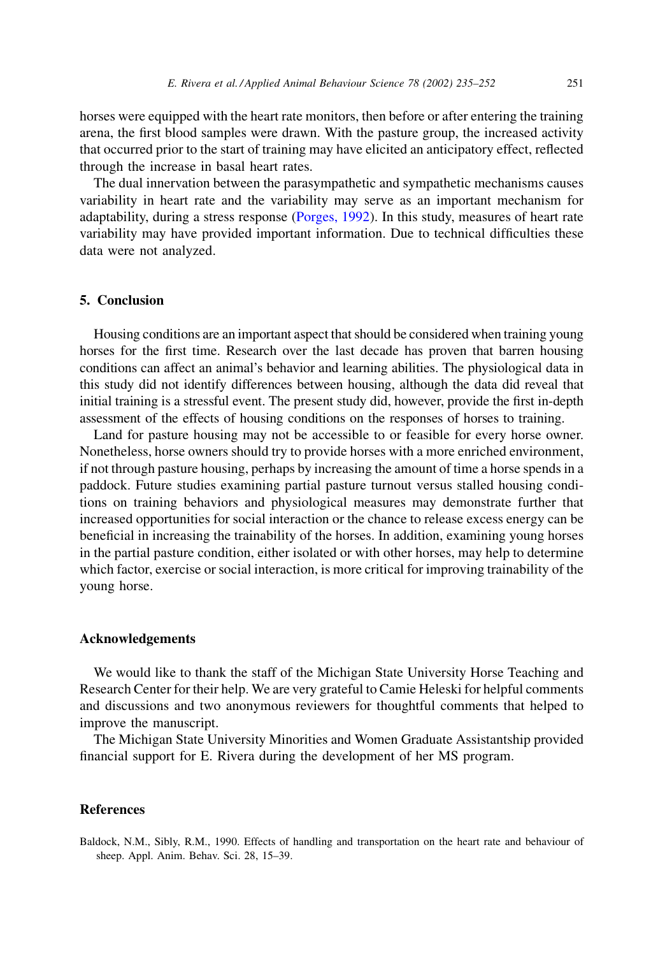<span id="page-16-0"></span>horses were equipped with the heart rate monitors, then before or after entering the training arena, the first blood samples were drawn. With the pasture group, the increased activity that occurred prior to the start of training may have elicited an anticipatory effect, reflected through the increase in basal heart rates.

The dual innervation between the parasympathetic and sympathetic mechanisms causes variability in heart rate and the variability may serve as an important mechanism for adaptability, during a stress response ([Porges, 1992](#page-17-0)). In this study, measures of heart rate variability may have provided important information. Due to technical difficulties these data were not analyzed.

# 5. Conclusion

Housing conditions are an important aspect that should be considered when training young horses for the first time. Research over the last decade has proven that barren housing conditions can affect an animal's behavior and learning abilities. The physiological data in this study did not identify differences between housing, although the data did reveal that initial training is a stressful event. The present study did, however, provide the first in-depth assessment of the effects of housing conditions on the responses of horses to training.

Land for pasture housing may not be accessible to or feasible for every horse owner. Nonetheless, horse owners should try to provide horses with a more enriched environment, if not through pasture housing, perhaps by increasing the amount of time a horse spends in a paddock. Future studies examining partial pasture turnout versus stalled housing conditions on training behaviors and physiological measures may demonstrate further that increased opportunities for social interaction or the chance to release excess energy can be beneficial in increasing the trainability of the horses. In addition, examining young horses in the partial pasture condition, either isolated or with other horses, may help to determine which factor, exercise or social interaction, is more critical for improving trainability of the young horse.

#### Acknowledgements

We would like to thank the staff of the Michigan State University Horse Teaching and Research Center for their help. We are very grateful to Camie Heleski for helpful comments and discussions and two anonymous reviewers for thoughtful comments that helped to improve the manuscript.

The Michigan State University Minorities and Women Graduate Assistantship provided financial support for E. Rivera during the development of her MS program.

# References

Baldock, N.M., Sibly, R.M., 1990. Effects of handling and transportation on the heart rate and behaviour of sheep. Appl. Anim. Behav. Sci. 28, 15–39.